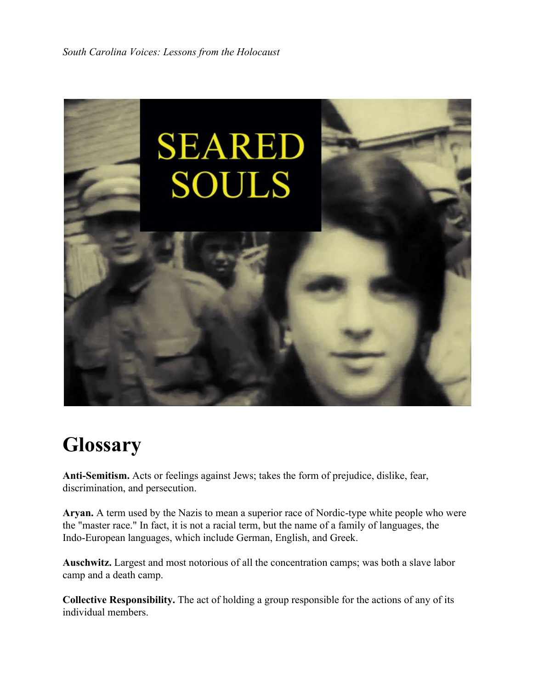

## **Glossary**

**Anti-Semitism.** Acts or feelings against Jews; takes the form of prejudice, dislike, fear, discrimination, and persecution.

**Aryan.** A term used by the Nazis to mean a superior race of Nordic-type white people who were the "master race." In fact, it is not a racial term, but the name of a family of languages, the Indo-European languages, which include German, English, and Greek.

**Auschwitz.** Largest and most notorious of all the concentration camps; was both a slave labor camp and a death camp.

**Collective Responsibility.** The act of holding a group responsible for the actions of any of its individual members.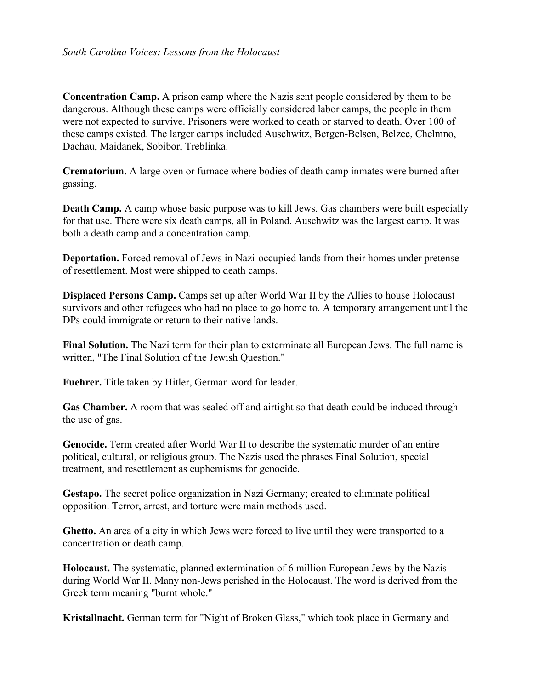**Concentration Camp.** A prison camp where the Nazis sent people considered by them to be dangerous. Although these camps were officially considered labor camps, the people in them were not expected to survive. Prisoners were worked to death or starved to death. Over 100 of these camps existed. The larger camps included Auschwitz, Bergen-Belsen, Belzec, Chelmno, Dachau, Maidanek, Sobibor, Treblinka.

**Crematorium.** A large oven or furnace where bodies of death camp inmates were burned after gassing.

**Death Camp.** A camp whose basic purpose was to kill Jews. Gas chambers were built especially for that use. There were six death camps, all in Poland. Auschwitz was the largest camp. It was both a death camp and a concentration camp.

**Deportation.** Forced removal of Jews in Nazi-occupied lands from their homes under pretense of resettlement. Most were shipped to death camps.

**Displaced Persons Camp.** Camps set up after World War II by the Allies to house Holocaust survivors and other refugees who had no place to go home to. A temporary arrangement until the DPs could immigrate or return to their native lands.

**Final Solution.** The Nazi term for their plan to exterminate all European Jews. The full name is written, "The Final Solution of the Jewish Question."

**Fuehrer.** Title taken by Hitler, German word for leader.

**Gas Chamber.** A room that was sealed off and airtight so that death could be induced through the use of gas.

**Genocide.** Term created after World War II to describe the systematic murder of an entire political, cultural, or religious group. The Nazis used the phrases Final Solution, special treatment, and resettlement as euphemisms for genocide.

**Gestapo.** The secret police organization in Nazi Germany; created to eliminate political opposition. Terror, arrest, and torture were main methods used.

**Ghetto.** An area of a city in which Jews were forced to live until they were transported to a concentration or death camp.

**Holocaust.** The systematic, planned extermination of 6 million European Jews by the Nazis during World War II. Many non-Jews perished in the Holocaust. The word is derived from the Greek term meaning "burnt whole."

**Kristallnacht.** German term for "Night of Broken Glass," which took place in Germany and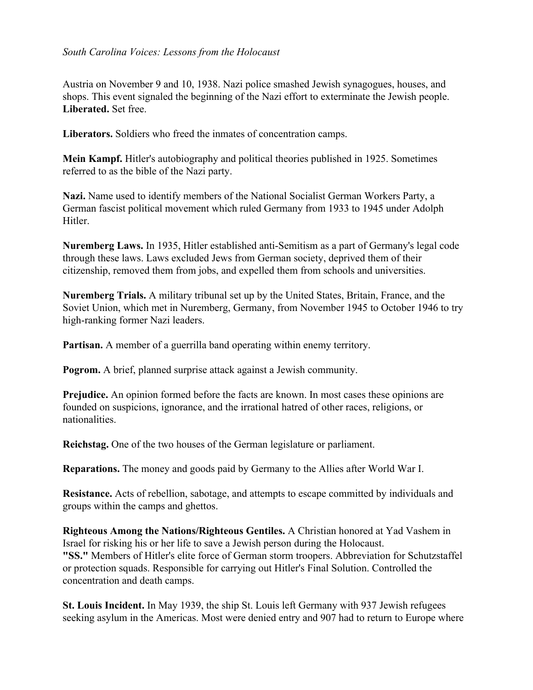## *South Carolina Voices: Lessons from the Holocaust*

Austria on November 9 and 10, 1938. Nazi police smashed Jewish synagogues, houses, and shops. This event signaled the beginning of the Nazi effort to exterminate the Jewish people. **Liberated.** Set free.

**Liberators.** Soldiers who freed the inmates of concentration camps.

**Mein Kampf.** Hitler's autobiography and political theories published in 1925. Sometimes referred to as the bible of the Nazi party.

**Nazi.** Name used to identify members of the National Socialist German Workers Party, a German fascist political movement which ruled Germany from 1933 to 1945 under Adolph Hitler.

**Nuremberg Laws.** In 1935, Hitler established anti-Semitism as a part of Germany's legal code through these laws. Laws excluded Jews from German society, deprived them of their citizenship, removed them from jobs, and expelled them from schools and universities.

**Nuremberg Trials.** A military tribunal set up by the United States, Britain, France, and the Soviet Union, which met in Nuremberg, Germany, from November 1945 to October 1946 to try high-ranking former Nazi leaders.

**Partisan.** A member of a guerrilla band operating within enemy territory.

**Pogrom.** A brief, planned surprise attack against a Jewish community.

**Prejudice.** An opinion formed before the facts are known. In most cases these opinions are founded on suspicions, ignorance, and the irrational hatred of other races, religions, or nationalities.

**Reichstag.** One of the two houses of the German legislature or parliament.

**Reparations.** The money and goods paid by Germany to the Allies after World War I.

**Resistance.** Acts of rebellion, sabotage, and attempts to escape committed by individuals and groups within the camps and ghettos.

**Righteous Among the Nations/Righteous Gentiles.** A Christian honored at Yad Vashem in Israel for risking his or her life to save a Jewish person during the Holocaust. **"SS."** Members of Hitler's elite force of German storm troopers. Abbreviation for Schutzstaffel or protection squads. Responsible for carrying out Hitler's Final Solution. Controlled the concentration and death camps.

**St. Louis Incident.** In May 1939, the ship St. Louis left Germany with 937 Jewish refugees seeking asylum in the Americas. Most were denied entry and 907 had to return to Europe where